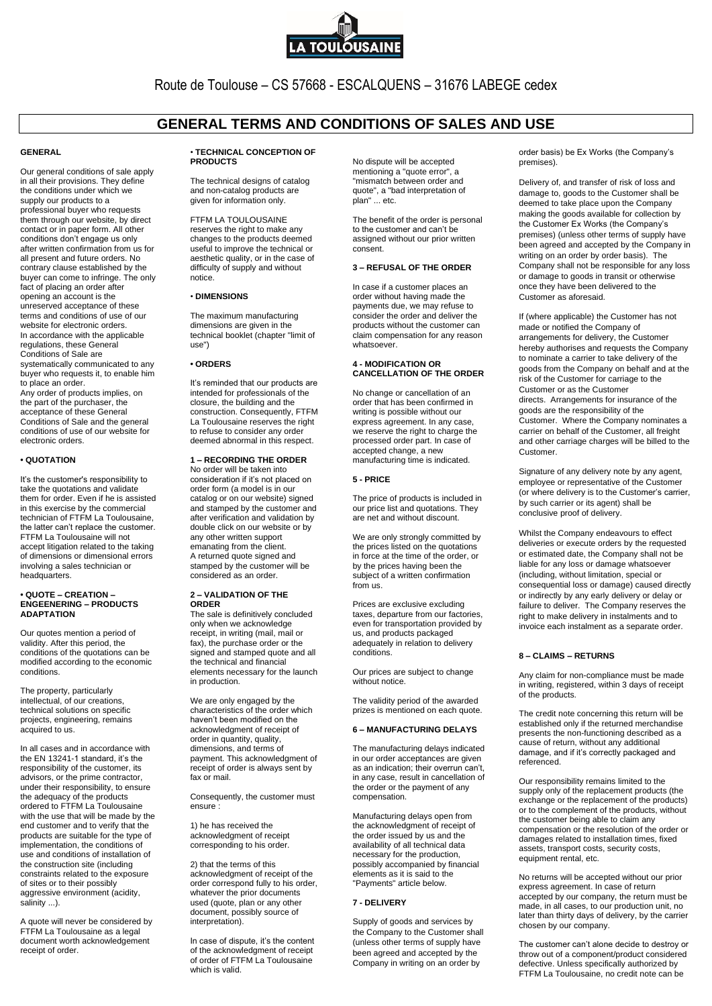

Route de Toulouse – CS 57668 - ESCALQUENS – 31676 LABEGE cedex

# **GENERAL TERMS AND CONDITIONS OF SALES AND USE**

# **GENERAL**

Our general conditions of sale apply in all their provisions. They define the conditions under which we supply our products to a professional buyer who requests them through our website, by direct contact or in paper form. All other conditions don't engage us only after written confirmation from us for all present and future orders. No contrary clause established by the buyer can come to infringe. The only fact of placing an order after opening an account is the unreserved acceptance of these terms and conditions of use of our website for electronic orders. In accordance with the applicable regulations, these General Conditions of Sale are systematically communicated to any buyer who requests it, to enable him to place an order. Any order of products implies, on the part of the purchaser, the acceptance of these General Conditions of Sale and the general conditions of use of our website for electronic orders.

### **• QUOTATION**

It's the customer's responsibility to take the quotations and validate them for order. Even if he is assisted in this exercise by the commercial technician of FTFM La Toulousaine, the latter can't replace the customer. FTFM La Toulousaine will not accept litigation related to the taking of dimensions or dimensional errors involving a sales technician or headquarters.

### **• QUOTE – CREATION – ENGEENERING – PRODUCTS ADAPTATION**

Our quotes mention a period of validity. After this period, the conditions of the quotations can be modified according to the economic conditions.

The property, particularly intellectual, of our creations, technical solutions on specific projects, engineering, remains acquired to us.

In all cases and in accordance with the EN 13241-1 standard, it's the responsibility of the customer, its advisors, or the prime contractor, under their responsibility, to ensure the adequacy of the products ordered to FTFM La Toulousaine with the use that will be made by the end customer and to verify that the products are suitable for the type of implementation, the conditions of use and conditions of installation of the construction site (including constraints related to the exposure of sites or to their possibly aggressive environment (acidity, salinity ...).

A quote will never be considered by FTFM La Toulousaine as a legal document worth acknowledgement receipt of order.

#### • **TECHNICAL CONCEPTION OF PRODUCTS**

The technical designs of catalog and non-catalog products are given for information only.

FTFM LA TOULOUSAINE reserves the right to make any changes to the products deemed useful to improve the technical or aesthetic quality, or in the case of difficulty of supply and without notice.

# • **DIMENSIONS**

The maximum manufacturing dimensions are given in the technical booklet (chapter "limit of use")

# **• ORDERS**

It's reminded that our products are intended for professionals of the closure, the building and the construction. Consequently, FTFM La Toulousaine reserves the right to refuse to consider any order deemed abnormal in this respect.

### **1 – RECORDING THE ORDER** No order will be taken into

consideration if it's not placed on order form (a model is in our catalog or on our website) signed and stamped by the customer and after verification and validation by double click on our website or by any other written support emanating from the client. A returned quote signed and stamped by the customer will be considered as an order.

### **2 – VALIDATION OF THE ORDER**

The sale is definitively concluded only when we acknowledge receipt, in writing (mail, mail or fax), the purchase order or the signed and stamped quote and all the technical and financial elements necessary for the launch in production.

We are only engaged by the characteristics of the order which haven't been modified on the acknowledgment of receipt of order in quantity, quality, dimensions, and terms of payment. This acknowledgment of receipt of order is always sent by fax or mail.

Consequently, the customer must ensure :

1) he has received the acknowledgment of receipt corresponding to his order.

2) that the terms of this acknowledgment of receipt of the order correspond fully to his order, whatever the prior documents used (quote, plan or any other document, possibly source of interpretation).

In case of dispute, it's the content of the acknowledgment of receipt of order of FTFM La Toulousaine which is valid.

No dispute will be accepted mentioning a "quote error", a "mismatch between order and quote", a "bad interpretation of plan" ... etc.

The benefit of the order is personal to the customer and can't be assigned without our prior written consent.

# **3 – REFUSAL OF THE ORDER**

In case if a customer places an order without having made the payments due, we may refuse to consider the order and deliver the products without the customer can .<br>claim compensation for any reason whatsoever.

#### **4 - MODIFICATION OR CANCELLATION OF THE ORDER**

No change or cancellation of an order that has been confirmed in writing is possible without our express agreement. In any case, we reserve the right to charge the processed order part. In case of accepted change, a new manufacturing time is indicated.

# **5 - PRICE**

The price of products is included in our price list and quotations. They are net and without discount.

We are only strongly committed by the prices listed on the quotations in force at the time of the order, or by the prices having been the subject of a written confirmation from us.

Prices are exclusive excluding taxes, departure from our factories, even for transportation provided by us, and products packaged adequately in relation to delivery conditions.

Our prices are subject to change without notice.

The validity period of the awarded prizes is mentioned on each quote.

## **6 – MANUFACTURING DELAYS**

The manufacturing delays indicated in our order acceptances are given as an indication; their overrun can't, in any case, result in cancellation of the order or the payment of any compensation.

Manufacturing delays open from the acknowledgment of receipt of the order issued by us and the availability of all technical data necessary for the production, possibly accompanied by financial elements as it is said to the "Payments" article below.

### **7 - DELIVERY**

Supply of goods and services by the Company to the Customer shall (unless other terms of supply have been agreed and accepted by the Company in writing on an order by

order basis) be Ex Works (the Company's premises).

Delivery of, and transfer of risk of loss and damage to, goods to the Customer shall be deemed to take place upon the Company making the goods available for collection by the Customer Ex Works (the Company's premises) (unless other terms of supply have been agreed and accepted by the Company in writing on an order by order basis). The Company shall not be responsible for any loss or damage to goods in transit or otherwise once they have been delivered to the Customer as aforesaid.

If (where applicable) the Customer has not made or notified the Company of arrangements for delivery, the Customer hereby authorises and requests the Company to nominate a carrier to take delivery of the goods from the Company on behalf and at the risk of the Customer for carriage to the Customer or as the Customer directs. Arrangements for insurance of the goods are the responsibility of the Customer. Where the Company nominates a carrier on behalf of the Customer, all freight and other carriage charges will be billed to the Customer.

Signature of any delivery note by any agent, employee or representative of the Customer (or where delivery is to the Customer's carrier, by such carrier or its agent) shall be conclusive proof of delivery.

Whilst the Company endeavours to effect deliveries or execute orders by the requested or estimated date, the Company shall not be liable for any loss or damage whatsoever (including, without limitation, special or consequential loss or damage) caused directly or indirectly by any early delivery or delay or failure to deliver. The Company reserves the right to make delivery in instalments and to invoice each instalment as a separate order.

### **8 – CLAIMS – RETURNS**

Any claim for non-compliance must be made in writing, registered, within 3 days of receipt of the products.

The credit note concerning this return will be established only if the returned merchandise presents the non-functioning described as a cause of return, without any additional damage, and if it's correctly packaged and referenced.

Our responsibility remains limited to the supply only of the replacement products (the exchange or the replacement of the products) or to the complement of the products, without the customer being able to claim any compensation or the resolution of the order or damages related to installation times, fixed assets, transport costs, security costs, equipment rental, etc.

No returns will be accepted without our prior express agreement. In case of return accepted by our company, the return must be made, in all cases, to our production unit, no later than thirty days of delivery, by the carrier chosen by our company.

The customer can't alone decide to destroy or throw out of a component/product considered defective. Unless specifically authorized by FTFM La Toulousaine, no credit note can be